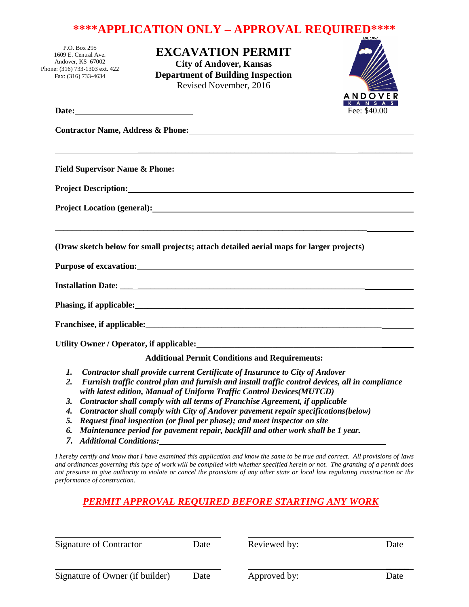# **\*\*\*\*APPLICATION ONLY – APPROVAL REQUIRED\*\*\*\***

P.O. Box 295 1609 E. Central Ave. Andover, KS 67002 Phone: (316) 733-1303 ext. 422 Fax: (316) 733-4634

**EXCAVATION PERMIT City of Andover, Kansas Department of Building Inspection** Revised November, 2016



|                                                                                                                                                                                                                                                                                                                                                                                                                                                                                      | Fee: \$40.00 |
|--------------------------------------------------------------------------------------------------------------------------------------------------------------------------------------------------------------------------------------------------------------------------------------------------------------------------------------------------------------------------------------------------------------------------------------------------------------------------------------|--------------|
| Contractor Name, Address & Phone: 2008 2010 2020 2020 2021 2022 2021 2022 2021 2022 2022 2023 2024 2022 2022 20                                                                                                                                                                                                                                                                                                                                                                      |              |
| ,我们也不会有什么。""我们的人,我们也不会有什么?""我们的人,我们也不会有什么?""我们的人,我们也不会有什么?""我们的人,我们也不会有什么?""我们的人                                                                                                                                                                                                                                                                                                                                                                                                     |              |
|                                                                                                                                                                                                                                                                                                                                                                                                                                                                                      |              |
| Project Location (general):<br><u>Depends</u> of the contract of the contract of the contract of the contract of the contract of the contract of the contract of the contract of the contract of the contract of the contract of the                                                                                                                                                                                                                                                 |              |
| (Draw sketch below for small projects; attach detailed aerial maps for larger projects)                                                                                                                                                                                                                                                                                                                                                                                              |              |
| Purpose of excavation: Note that the contract of excavation:                                                                                                                                                                                                                                                                                                                                                                                                                         |              |
|                                                                                                                                                                                                                                                                                                                                                                                                                                                                                      |              |
|                                                                                                                                                                                                                                                                                                                                                                                                                                                                                      |              |
|                                                                                                                                                                                                                                                                                                                                                                                                                                                                                      |              |
|                                                                                                                                                                                                                                                                                                                                                                                                                                                                                      |              |
| <b>Additional Permit Conditions and Requirements:</b>                                                                                                                                                                                                                                                                                                                                                                                                                                |              |
| Contractor shall provide current Certificate of Insurance to City of Andover<br><i>I</i> .<br>2.<br>Furnish traffic control plan and furnish and install traffic control devices, all in compliance<br>with latest edition, Manual of Uniform Traffic Control Devices(MUTCD)<br>Contractor shall comply with all terms of Franchise Agreement, if applicable<br>3.<br>$\theta$ as the star about a second with $\theta$ in all the star is no conservative on a self ontiana (botan) |              |

- *4. Contractor shall comply with City of Andover pavement repair specifications(below)*
- *5. Request final inspection (or final per phase); and meet inspector on site*
- *6. Maintenance period for pavement repair, backfill and other work shall be 1 year.*
- *7. Additional Conditions:*

*I hereby certify and know that I have examined this application and know the same to be true and correct. All provisions of laws and ordinances governing this type of work will be complied with whether specified herein or not. The granting of a permit does not presume to give authority to violate or cancel the provisions of any other state or local law regulating construction or the performance of construction.*

#### *PERMIT APPROVAL REQUIRED BEFORE STARTING ANY WORK*

| Signature of Contractor         | Date | Reviewed by: | Date |
|---------------------------------|------|--------------|------|
| Signature of Owner (if builder) | Date | Approved by: | Date |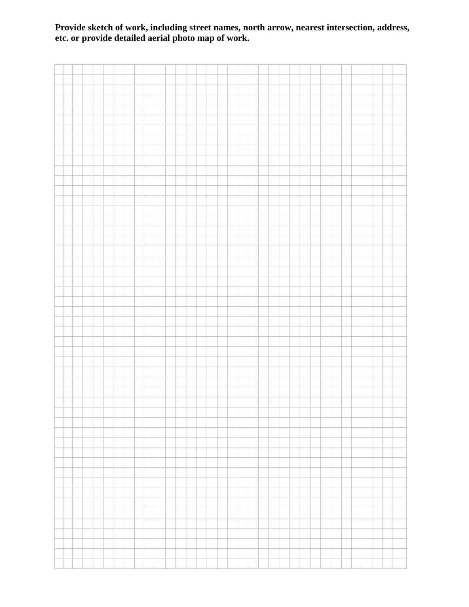### **Provide sketch of work, including street names, north arrow, nearest intersection, address, etc. or provide detailed aerial photo map of work.**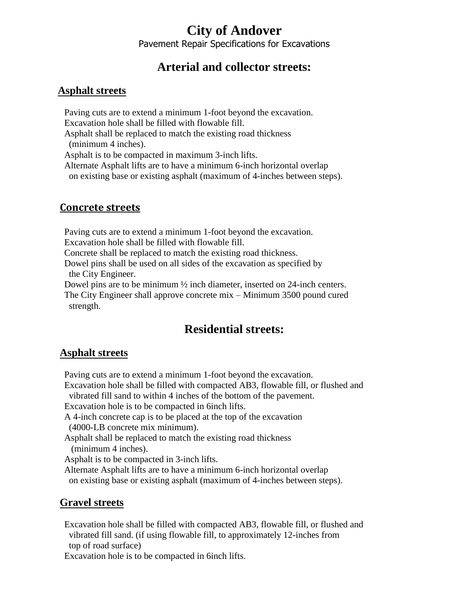# **City of Andover**

Pavement Repair Specifications for Excavations

## **Arterial and collector streets:**

#### **Asphalt streets**

 Paving cuts are to extend a minimum 1-foot beyond the excavation. Excavation hole shall be filled with flowable fill.

 Asphalt shall be replaced to match the existing road thickness (minimum 4 inches).

Asphalt is to be compacted in maximum 3-inch lifts.

 Alternate Asphalt lifts are to have a minimum 6-inch horizontal overlap on existing base or existing asphalt (maximum of 4-inches between steps).

#### **Concrete streets**

Paving cuts are to extend a minimum 1-foot beyond the excavation.

Excavation hole shall be filled with flowable fill.

Concrete shall be replaced to match the existing road thickness.

 Dowel pins shall be used on all sides of the excavation as specified by the City Engineer.

Dowel pins are to be minimum  $\frac{1}{2}$  inch diameter, inserted on 24-inch centers.

 The City Engineer shall approve concrete mix – Minimum 3500 pound cured strength.

## **Residential streets:**

#### **Asphalt streets**

Paving cuts are to extend a minimum 1-foot beyond the excavation.

 Excavation hole shall be filled with compacted AB3, flowable fill, or flushed and vibrated fill sand to within 4 inches of the bottom of the pavement.

Excavation hole is to be compacted in 6inch lifts.

 A 4-inch concrete cap is to be placed at the top of the excavation (4000-LB concrete mix minimum).

 Asphalt shall be replaced to match the existing road thickness (minimum 4 inches).

Asphalt is to be compacted in 3-inch lifts.

 Alternate Asphalt lifts are to have a minimum 6-inch horizontal overlap on existing base or existing asphalt (maximum of 4-inches between steps).

### **Gravel streets**

 Excavation hole shall be filled with compacted AB3, flowable fill, or flushed and vibrated fill sand. (if using flowable fill, to approximately 12-inches from top of road surface)

Excavation hole is to be compacted in 6inch lifts.